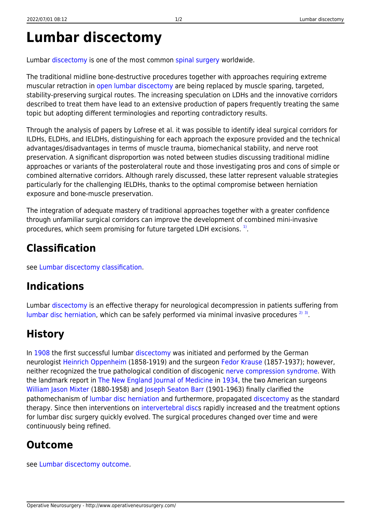# **Lumbar discectomy**

Lumbar [discectomy](http://www.operativeneurosurgery.com/doku.php?id=discectomy) is one of the most common [spinal surgery](http://www.operativeneurosurgery.com/doku.php?id=spinal_surgery) worldwide.

The traditional midline bone-destructive procedures together with approaches requiring extreme muscular retraction in [open lumbar discectomy](http://www.operativeneurosurgery.com/doku.php?id=open_lumbar_discectomy) are being replaced by muscle sparing, targeted, stability-preserving surgical routes. The increasing speculation on LDHs and the innovative corridors described to treat them have lead to an extensive production of papers frequently treating the same topic but adopting different terminologies and reporting contradictory results.

Through the analysis of papers by Lofrese et al. it was possible to identify ideal surgical corridors for ILDHs, ELDHs, and IELDHs, distinguishing for each approach the exposure provided and the technical advantages/disadvantages in terms of muscle trauma, biomechanical stability, and nerve root preservation. A significant disproportion was noted between studies discussing traditional midline approaches or variants of the posterolateral route and those investigating pros and cons of simple or combined alternative corridors. Although rarely discussed, these latter represent valuable strategies particularly for the challenging IELDHs, thanks to the optimal compromise between herniation exposure and bone-muscle preservation.

The integration of adequate mastery of traditional approaches together with a greater confidence through unfamiliar surgical corridors can improve the development of combined mini-invasive procedures, which seem promising for future targeted LDH excisions. [1\)](#page--1-0).

## **Classification**

see [Lumbar discectomy classification.](http://www.operativeneurosurgery.com/doku.php?id=lumbar_discectomy_classification)

#### **Indications**

Lumbar [discectomy](http://www.operativeneurosurgery.com/doku.php?id=discectomy) is an effective therapy for neurological decompression in patients suffering from [lumbar disc herniation,](http://www.operativeneurosurgery.com/doku.php?id=lumbar_disc_herniation) which can be safely performed via minimal invasive procedures  $2^{(3)}$  $2^{(3)}$  $2^{(3)}$ .

## **History**

In [1908](http://www.operativeneurosurgery.com/doku.php?id=1908) the first successful lumbar [discectomy](http://www.operativeneurosurgery.com/doku.php?id=discectomy) was initiated and performed by the German neurologist [Heinrich Oppenheim](http://www.operativeneurosurgery.com/doku.php?id=heinrich_oppenheim) (1858-1919) and the surgeon [Fedor Krause](http://www.operativeneurosurgery.com/doku.php?id=fedor_krause) (1857-1937); however, neither recognized the true pathological condition of discogenic [nerve compression syndrome.](http://www.operativeneurosurgery.com/doku.php?id=nerve_compression_syndrome) With the landmark report in [The New England Journal of Medicine](http://www.operativeneurosurgery.com/doku.php?id=the_new_england_journal_of_medicine) in [1934](http://www.operativeneurosurgery.com/doku.php?id=1934), the two American surgeons [William Jason Mixter](http://www.operativeneurosurgery.com/doku.php?id=william_jason_mixter) (1880-1958) and [Joseph Seaton Barr](http://www.operativeneurosurgery.com/doku.php?id=joseph_seaton_barr) (1901-1963) finally clarified the pathomechanism of [lumbar disc herniation](http://www.operativeneurosurgery.com/doku.php?id=lumbar_disc_herniation) and furthermore, propagated [discectomy](http://www.operativeneurosurgery.com/doku.php?id=discectomy) as the standard therapy. Since then interventions on [intervertebral discs](http://www.operativeneurosurgery.com/doku.php?id=intervertebral_disc) rapidly increased and the treatment options for lumbar disc surgery quickly evolved. The surgical procedures changed over time and were continuously being refined.

## **Outcome**

see [Lumbar discectomy outcome](http://www.operativeneurosurgery.com/doku.php?id=lumbar_discectomy_outcome).